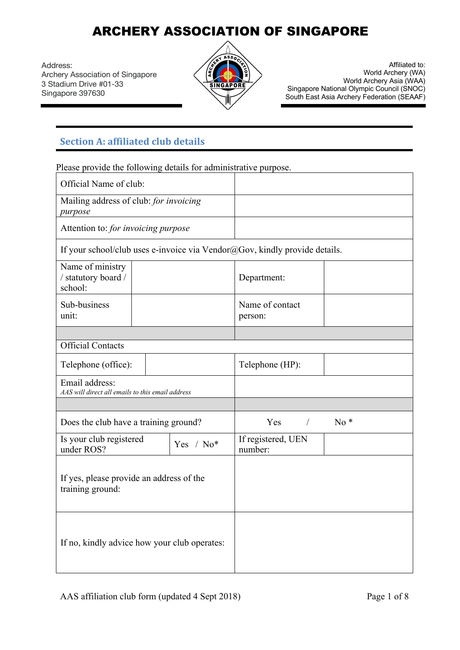Address: Archery Association of Singapore 3 Stadium Drive #01-33 Singapore 397630



Affiliated to: World Archery (WA) World Archery Asia (WAA) Singapore National Olympic Council (SNOC) South East Asia Archery Federation (SEAAF)

### **Section A: affiliated club details**

Please provide the following details for administrative purpose.

| Official Name of club:                                                     |             |                               |       |
|----------------------------------------------------------------------------|-------------|-------------------------------|-------|
| Mailing address of club: for invoicing<br>purpose                          |             |                               |       |
| Attention to: for invoicing purpose                                        |             |                               |       |
| If your school/club uses e-invoice via Vendor@Gov, kindly provide details. |             |                               |       |
| Name of ministry<br>/ statutory board /<br>school:                         |             | Department:                   |       |
| Sub-business<br>unit:                                                      |             | Name of contact<br>person:    |       |
|                                                                            |             |                               |       |
| <b>Official Contacts</b>                                                   |             |                               |       |
| Telephone (office):                                                        |             | Telephone (HP):               |       |
| Email address:<br>AAS will direct all emails to this email address         |             |                               |       |
|                                                                            |             |                               |       |
| Does the club have a training ground?                                      |             | $Yes$ /                       | $No*$ |
| Is your club registered<br>under ROS?                                      | Yes / $No*$ | If registered, UEN<br>number: |       |
| If yes, please provide an address of the<br>training ground:               |             |                               |       |
| If no, kindly advice how your club operates:                               |             |                               |       |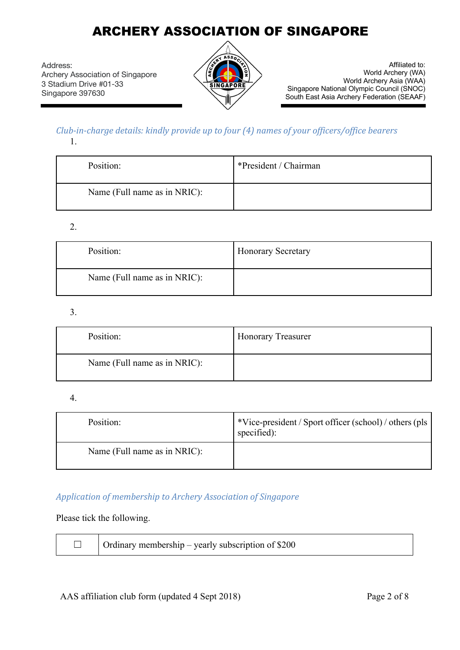Address: Archery Association of Singapore 3 Stadium Drive #01-33 Singapore 397630



Affiliated to: World Archery (WA) World Archery Asia (WAA) Singapore National Olympic Council (SNOC) South East Asia Archery Federation (SEAAF)

#### *Club-in-charge details: kindly provide up to four (4) names of your officers/office bearers* 1.

| Position:                    | *President / Chairman |
|------------------------------|-----------------------|
| Name (Full name as in NRIC): |                       |

#### 2.

| Position:                    | <b>Honorary Secretary</b> |
|------------------------------|---------------------------|
| Name (Full name as in NRIC): |                           |

#### 3.

| Position:                    | <b>Honorary Treasurer</b> |
|------------------------------|---------------------------|
| Name (Full name as in NRIC): |                           |

#### 4.

| Position:                    | *Vice-president / Sport officer (school) / others (pls<br>specified): |
|------------------------------|-----------------------------------------------------------------------|
| Name (Full name as in NRIC): |                                                                       |

#### *Application of membership to Archery Association of Singapore*

#### Please tick the following.

| $\Box$ | Ordinary membership – yearly subscription of \$200 |  |
|--------|----------------------------------------------------|--|
|        |                                                    |  |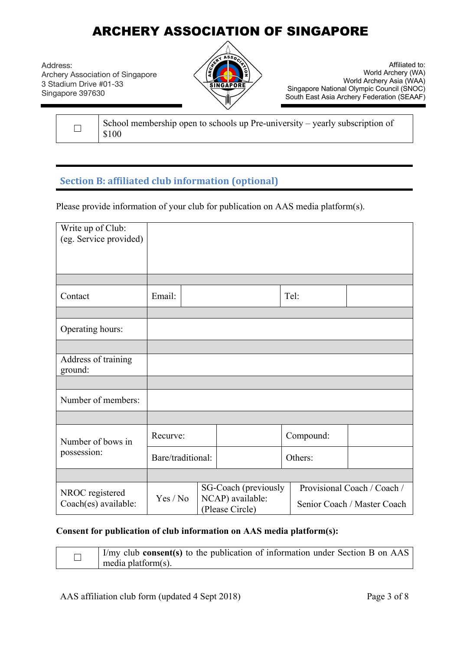Address: Archery Association of Singapore 3 Stadium Drive #01-33 Singapore 397630



Affiliated to: World Archery (WA) World Archery Asia (WAA) Singapore National Olympic Council (SNOC) South East Asia Archery Federation (SEAAF)

School membership open to schools up Pre-university – yearly subscription of \$100

### **Section B: affiliated club information (optional)**

Please provide information of your club for publication on AAS media platform(s).

| Write up of Club:                       |                   |  |                                                             |         |           |                                                            |
|-----------------------------------------|-------------------|--|-------------------------------------------------------------|---------|-----------|------------------------------------------------------------|
| (eg. Service provided)                  |                   |  |                                                             |         |           |                                                            |
|                                         |                   |  |                                                             |         |           |                                                            |
|                                         |                   |  |                                                             |         |           |                                                            |
|                                         |                   |  |                                                             |         |           |                                                            |
| Contact                                 | Email:            |  |                                                             |         | Tel:      |                                                            |
|                                         |                   |  |                                                             |         |           |                                                            |
| Operating hours:                        |                   |  |                                                             |         |           |                                                            |
|                                         |                   |  |                                                             |         |           |                                                            |
| Address of training<br>ground:          |                   |  |                                                             |         |           |                                                            |
|                                         |                   |  |                                                             |         |           |                                                            |
| Number of members:                      |                   |  |                                                             |         |           |                                                            |
|                                         |                   |  |                                                             |         |           |                                                            |
| Number of bows in                       | Recurve:          |  |                                                             |         | Compound: |                                                            |
| possession:                             | Bare/traditional: |  |                                                             | Others: |           |                                                            |
|                                         |                   |  |                                                             |         |           |                                                            |
| NROC registered<br>Coach(es) available: | Yes / No          |  | SG-Coach (previously<br>NCAP) available:<br>(Please Circle) |         |           | Provisional Coach / Coach /<br>Senior Coach / Master Coach |

#### **Consent for publication of club information on AAS media platform(s):**

| $\vert$ I/my club <b>consent(s)</b> to the publication of information under Section B on AAS<br>media platform(s). |
|--------------------------------------------------------------------------------------------------------------------|
|                                                                                                                    |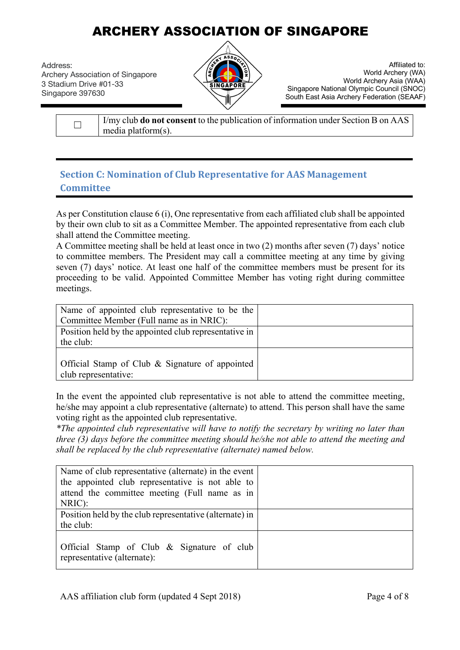Address: Archery Association of Singapore 3 Stadium Drive #01-33 Singapore 397630



Affiliated to: World Archery (WA) World Archery Asia (WAA) Singapore National Olympic Council (SNOC) South East Asia Archery Federation (SEAAF)

| <i>I'my</i> club <b>do not consent</b> to the publication of information under Section B on AAS |
|-------------------------------------------------------------------------------------------------|
| $ $ media platform(s).                                                                          |

### **Section C: Nomination of Club Representative for AAS Management Committee**

As per Constitution clause 6 (i), One representative from each affiliated club shall be appointed by their own club to sit as a Committee Member. The appointed representative from each club shall attend the Committee meeting.

A Committee meeting shall be held at least once in two (2) months after seven (7) days' notice to committee members. The President may call a committee meeting at any time by giving seven (7) days' notice. At least one half of the committee members must be present for its proceeding to be valid. Appointed Committee Member has voting right during committee meetings.

| Name of appointed club representative to be the       |  |
|-------------------------------------------------------|--|
| Committee Member (Full name as in NRIC):              |  |
| Position held by the appointed club representative in |  |
| the club:                                             |  |
|                                                       |  |
| Official Stamp of Club & Signature of appointed       |  |
| club representative:                                  |  |

In the event the appointed club representative is not able to attend the committee meeting, he/she may appoint a club representative (alternate) to attend. This person shall have the same voting right as the appointed club representative.

*\*The appointed club representative will have to notify the secretary by writing no later than three (3) days before the committee meeting should he/she not able to attend the meeting and shall be replaced by the club representative (alternate) named below.*

| Name of club representative (alternate) in the event    |  |
|---------------------------------------------------------|--|
| the appointed club representative is not able to        |  |
| attend the committee meeting (Full name as in           |  |
| NRIC):                                                  |  |
| Position held by the club representative (alternate) in |  |
| the club:                                               |  |
|                                                         |  |
| Official Stamp of Club & Signature of club              |  |
| representative (alternate):                             |  |
|                                                         |  |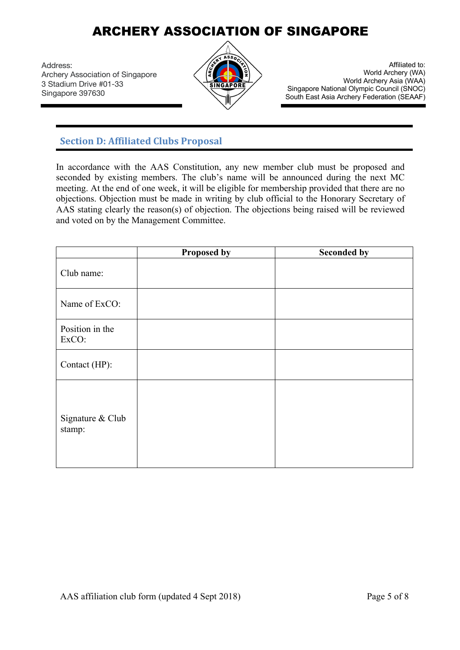Address: Archery Association of Singapore 3 Stadium Drive #01-33 Singapore 397630



Affiliated to: World Archery (WA) World Archery Asia (WAA) Singapore National Olympic Council (SNOC) South East Asia Archery Federation (SEAAF)

### **Section D: Affiliated Clubs Proposal**

In accordance with the AAS Constitution, any new member club must be proposed and seconded by existing members. The club's name will be announced during the next MC meeting. At the end of one week, it will be eligible for membership provided that there are no objections. Objection must be made in writing by club official to the Honorary Secretary of AAS stating clearly the reason(s) of objection. The objections being raised will be reviewed and voted on by the Management Committee.

|                            | <b>Proposed by</b> | <b>Seconded by</b> |
|----------------------------|--------------------|--------------------|
| Club name:                 |                    |                    |
| Name of ExCO:              |                    |                    |
| Position in the<br>ExCO:   |                    |                    |
| Contact (HP):              |                    |                    |
| Signature & Club<br>stamp: |                    |                    |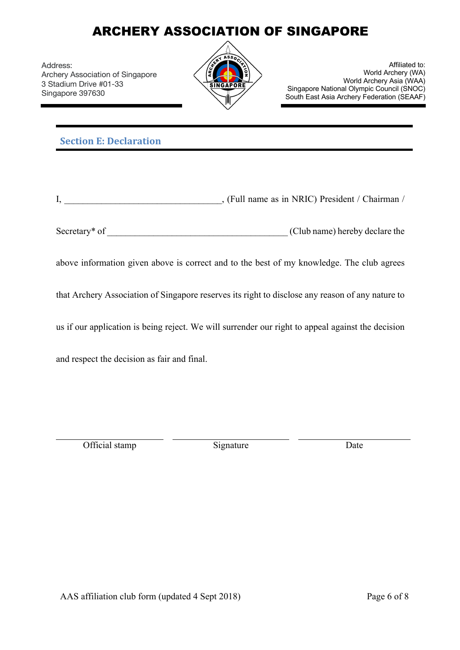Address: Archery Association of Singapore 3 Stadium Drive #01-33 Singapore 397630



Affiliated to: World Archery (WA) World Archery Asia (WAA) Singapore National Olympic Council (SNOC) South East Asia Archery Federation (SEAAF)

### **Section E: Declaration**

|  | . (Full name as in NRIC) President / Chairman |  |
|--|-----------------------------------------------|--|
|--|-----------------------------------------------|--|

| Secretary <sup>*</sup> of<br>(Club name) hereby declare the |
|-------------------------------------------------------------|
|-------------------------------------------------------------|

above information given above is correct and to the best of my knowledge. The club agrees

that Archery Association of Singapore reserves its right to disclose any reason of any nature to

us if our application is being reject. We will surrender our right to appeal against the decision

and respect the decision as fair and final.

Official stamp Signature Date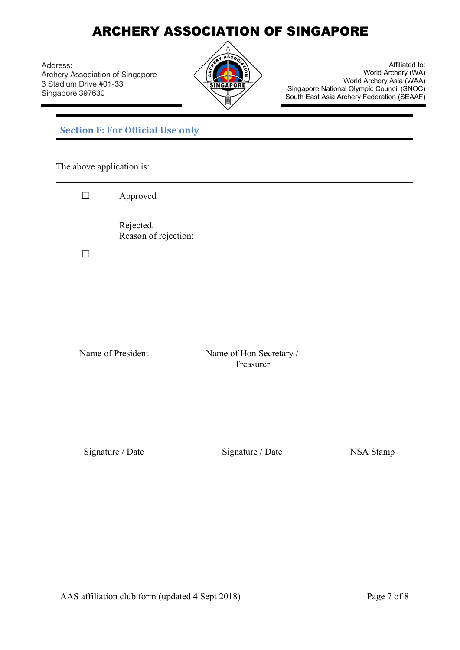Address: Archery Association of Singapore 3 Stadium Drive #01-33 Singapore 397630



Affiliated to: World Archery (WA) World Archery Asia (WAA) Singapore National Olympic Council (SNOC) South East Asia Archery Federation (SEAAF)

### **Section F: For Official Use only**

The above application is:

| Approved                          |
|-----------------------------------|
| Rejected.<br>Reason of rejection: |

Name of President Name of Hon Secretary / Treasurer

Signature / Date Signature / Date NSA Stamp